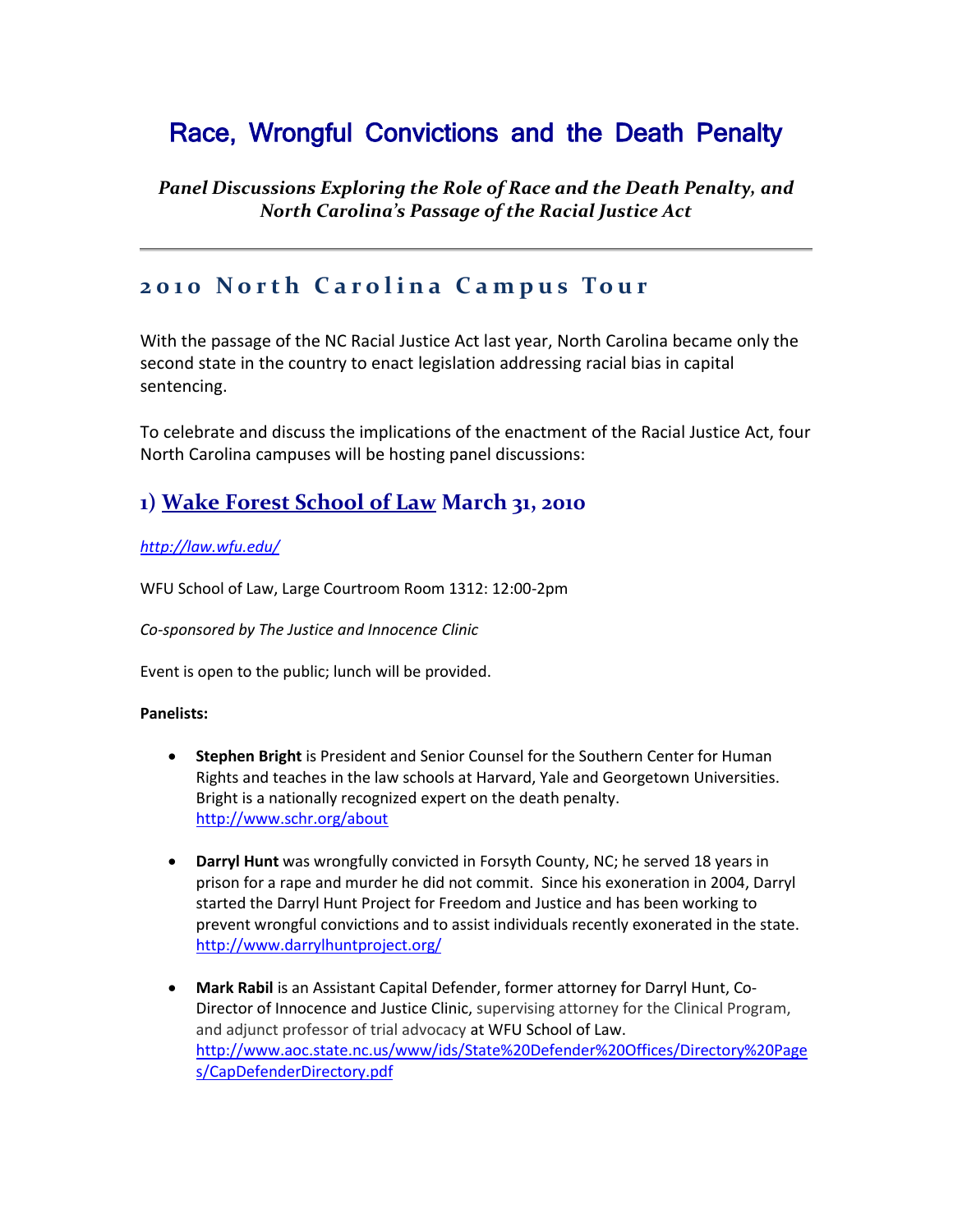# Race, Wrongful Convictions and the Death Penalty

*Panel Discussions Exploring the Role of Race and the Death Penalty, and North Carolina's Passage of the Racial Justice Act*

### **2 0 1 0 N o r t h C a r o l i n a C a m p u s To u r**

With the passage of the NC Racial Justice Act last year, North Carolina became only the second state in the country to enact legislation addressing racial bias in capital sentencing.

To celebrate and discuss the implications of the enactment of the Racial Justice Act, four North Carolina campuses will be hosting panel discussions:

### **1) Wake Forest School of Law March 31, 2010**

#### *<http://law.wfu.edu/>*

WFU School of Law, Large Courtroom Room 1312: 12:00-2pm

*Co-sponsored by The Justice and Innocence Clinic* 

Event is open to the public; lunch will be provided.

#### **Panelists:**

- **Stephen Bright** is President and Senior Counsel for the Southern Center for Human Rights and teaches in the law schools at Harvard, Yale and Georgetown Universities. Bright is a nationally recognized expert on the death penalty. <http://www.schr.org/about>
- **Darryl Hunt** was wrongfully convicted in Forsyth County, NC; he served 18 years in prison for a rape and murder he did not commit. Since his exoneration in 2004, Darryl started the Darryl Hunt Project for Freedom and Justice and has been working to prevent wrongful convictions and to assist individuals recently exonerated in the state. <http://www.darrylhuntproject.org/>
- **Mark Rabil** is an Assistant Capital Defender, former attorney for Darryl Hunt, Co-Director of Innocence and Justice Clinic, supervising attorney for the Clinical Program, and adjunct professor of trial advocacy at WFU School of Law. [http://www.aoc.state.nc.us/www/ids/State%20Defender%20Offices/Directory%20Page](http://www.aoc.state.nc.us/www/ids/State%20Defender%20Offices/Directory%20Pages/CapDefenderDirectory.pdf) [s/CapDefenderDirectory.pdf](http://www.aoc.state.nc.us/www/ids/State%20Defender%20Offices/Directory%20Pages/CapDefenderDirectory.pdf)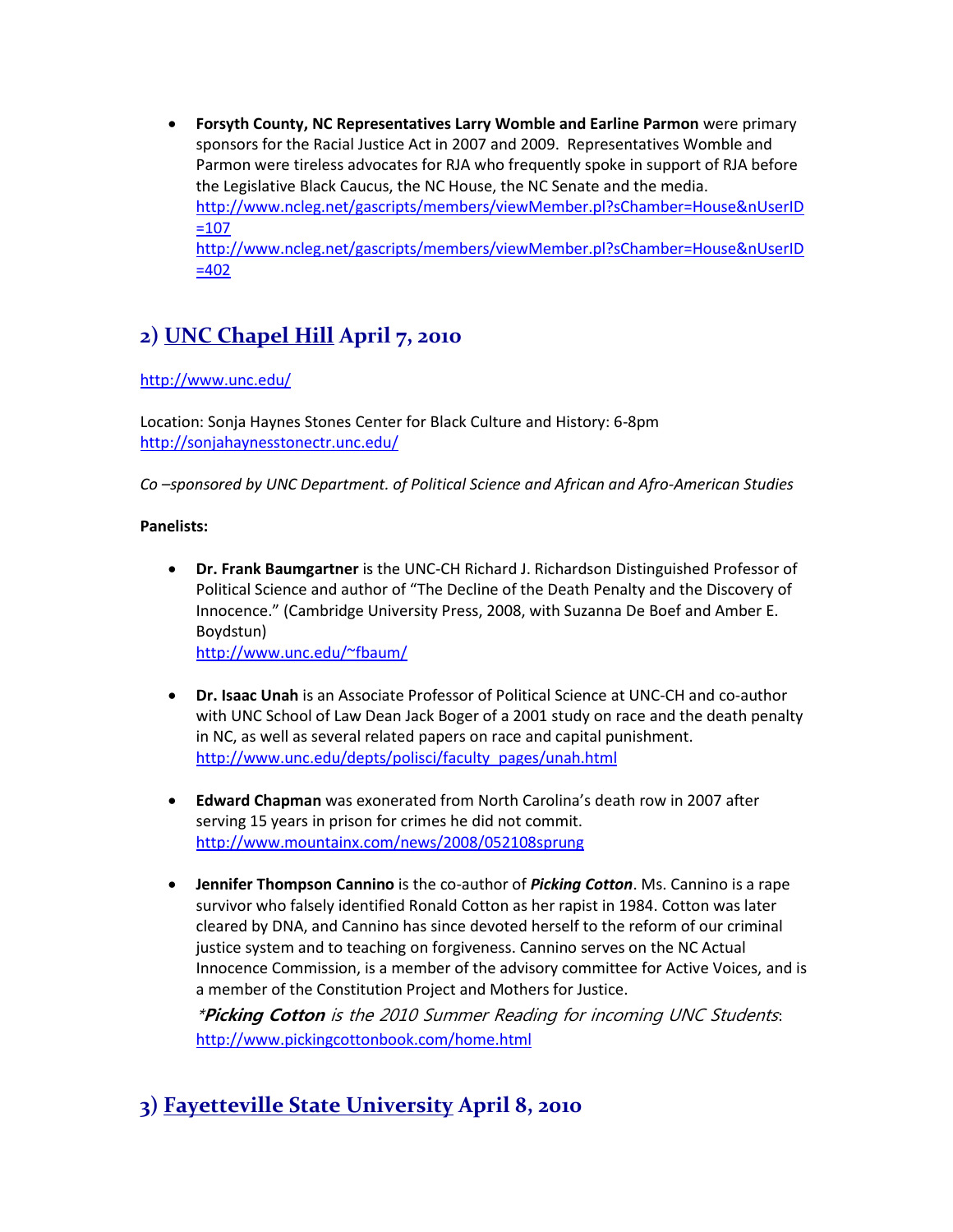**Forsyth County, NC Representatives Larry Womble and Earline Parmon** were primary sponsors for the Racial Justice Act in 2007 and 2009. Representatives Womble and Parmon were tireless advocates for RJA who frequently spoke in support of RJA before the Legislative Black Caucus, the NC House, the NC Senate and the media. [http://www.ncleg.net/gascripts/members/viewMember.pl?sChamber=House&nUserID](http://www.ncleg.net/gascripts/members/viewMember.pl?sChamber=House&nUserID=107)  $=107$ [http://www.ncleg.net/gascripts/members/viewMember.pl?sChamber=House&nUserID](http://www.ncleg.net/gascripts/members/viewMember.pl?sChamber=House&nUserID=402)  $=402$ 

## **2) UNC Chapel Hill April 7, 2010**

#### <http://www.unc.edu/>

Location: Sonja Haynes Stones Center for Black Culture and History: 6-8pm <http://sonjahaynesstonectr.unc.edu/>

*Co –sponsored by UNC Department. of Political Science and African and Afro-American Studies*

#### **Panelists:**

 **Dr. Frank Baumgartner** is the UNC-CH Richard J. Richardson Distinguished Professor of Political Science and author of "The Decline of the Death Penalty and the Discovery of Innocence." (Cambridge University Press, 2008, with Suzanna De Boef and Amber E. Boydstun)

<http://www.unc.edu/~fbaum/>

- **Dr. Isaac Unah** is an Associate Professor of Political Science at UNC-CH and co-author with UNC School of Law Dean Jack Boger of a 2001 study on race and the death penalty in NC, as well as several related papers on race and capital punishment. [http://www.unc.edu/depts/polisci/faculty\\_pages/unah.html](http://www.unc.edu/depts/polisci/faculty_pages/unah.html)
- **Edward Chapman** was exonerated from North Carolina's death row in 2007 after serving 15 years in prison for crimes he did not commit. <http://www.mountainx.com/news/2008/052108sprung>
- **Jennifer Thompson Cannino** is the co-author of *Picking Cotton*. Ms. Cannino is a rape survivor who falsely identified Ronald Cotton as her rapist in 1984. Cotton was later cleared by DNA, and Cannino has since devoted herself to the reform of our criminal justice system and to teaching on forgiveness. Cannino serves on the NC Actual Innocence Commission, is a member of the advisory committee for Active Voices, and is a member of the Constitution Project and Mothers for Justice.

\***Picking Cotton** is the 2010 Summer Reading for incoming UNC Students: <http://www.pickingcottonbook.com/home.html>

## **3) Fayetteville State University April 8, 2010**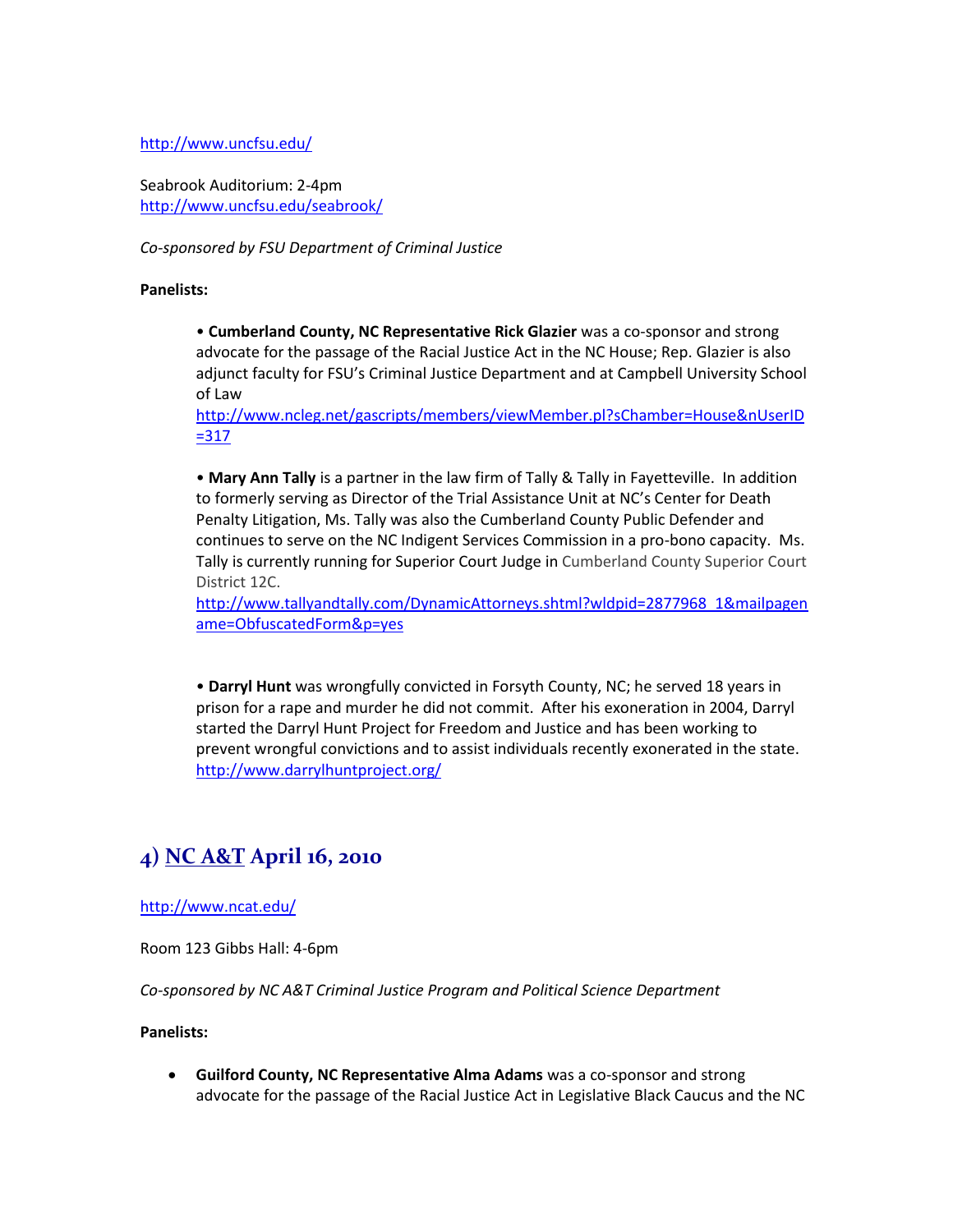<http://www.uncfsu.edu/>

Seabrook Auditorium: 2-4pm <http://www.uncfsu.edu/seabrook/>

*Co-sponsored by FSU Department of Criminal Justice*

#### **Panelists:**

• **Cumberland County, NC Representative Rick Glazier** was a co-sponsor and strong advocate for the passage of the Racial Justice Act in the NC House; Rep. Glazier is also adjunct faculty for FSU's Criminal Justice Department and at Campbell University School of Law

[http://www.ncleg.net/gascripts/members/viewMember.pl?sChamber=House&nUserID](http://www.ncleg.net/gascripts/members/viewMember.pl?sChamber=House&nUserID=317) [=317](http://www.ncleg.net/gascripts/members/viewMember.pl?sChamber=House&nUserID=317)

• **Mary Ann Tally** is a partner in the law firm of Tally & Tally in Fayetteville. In addition to formerly serving as Director of the Trial Assistance Unit at NC's Center for Death Penalty Litigation, Ms. Tally was also the Cumberland County Public Defender and continues to serve on the NC Indigent Services Commission in a pro-bono capacity. Ms. Tally is currently running for Superior Court Judge in Cumberland County Superior Court District 12C.

[http://www.tallyandtally.com/DynamicAttorneys.shtml?wldpid=2877968\\_1&mailpagen](http://www.tallyandtally.com/DynamicAttorneys.shtml?wldpid=2877968_1&mailpagename=ObfuscatedForm&p=yes) [ame=ObfuscatedForm&p=yes](http://www.tallyandtally.com/DynamicAttorneys.shtml?wldpid=2877968_1&mailpagename=ObfuscatedForm&p=yes)

• **Darryl Hunt** was wrongfully convicted in Forsyth County, NC; he served 18 years in prison for a rape and murder he did not commit. After his exoneration in 2004, Darryl started the Darryl Hunt Project for Freedom and Justice and has been working to prevent wrongful convictions and to assist individuals recently exonerated in the state. <http://www.darrylhuntproject.org/>

## **4) NC A&T April 16, 2010**

<http://www.ncat.edu/>

Room 123 Gibbs Hall: 4-6pm

*Co-sponsored by NC A&T Criminal Justice Program and Political Science Department*

#### **Panelists:**

 **Guilford County, NC Representative Alma Adams** was a co-sponsor and strong advocate for the passage of the Racial Justice Act in Legislative Black Caucus and the NC